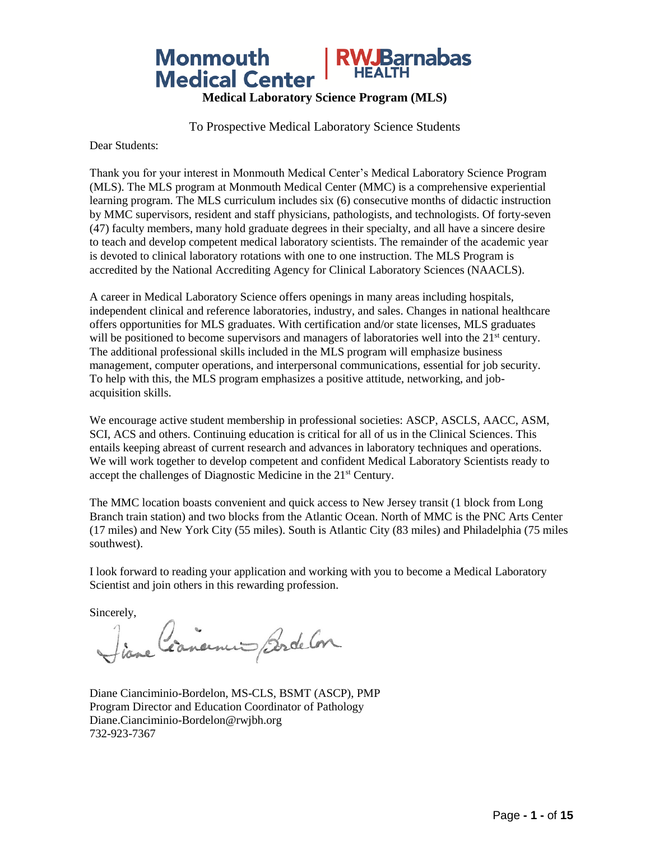

To Prospective Medical Laboratory Science Students

Dear Students:

Thank you for your interest in Monmouth Medical Center's Medical Laboratory Science Program (MLS). The MLS program at Monmouth Medical Center (MMC) is a comprehensive experiential learning program. The MLS curriculum includes six (6) consecutive months of didactic instruction by MMC supervisors, resident and staff physicians, pathologists, and technologists. Of forty-seven (47) faculty members, many hold graduate degrees in their specialty, and all have a sincere desire to teach and develop competent medical laboratory scientists. The remainder of the academic year is devoted to clinical laboratory rotations with one to one instruction. The MLS Program is accredited by the National Accrediting Agency for Clinical Laboratory Sciences (NAACLS).

A career in Medical Laboratory Science offers openings in many areas including hospitals, independent clinical and reference laboratories, industry, and sales. Changes in national healthcare offers opportunities for MLS graduates. With certification and/or state licenses, MLS graduates will be positioned to become supervisors and managers of laboratories well into the  $21<sup>st</sup>$  century. The additional professional skills included in the MLS program will emphasize business management, computer operations, and interpersonal communications, essential for job security. To help with this, the MLS program emphasizes a positive attitude, networking, and jobacquisition skills.

We encourage active student membership in professional societies: ASCP, ASCLS, AACC, ASM, SCI, ACS and others. Continuing education is critical for all of us in the Clinical Sciences. This entails keeping abreast of current research and advances in laboratory techniques and operations. We will work together to develop competent and confident Medical Laboratory Scientists ready to accept the challenges of Diagnostic Medicine in the 21st Century.

The MMC location boasts convenient and quick access to New Jersey transit (1 block from Long Branch train station) and two blocks from the Atlantic Ocean. North of MMC is the PNC Arts Center (17 miles) and New York City (55 miles). South is Atlantic City (83 miles) and Philadelphia (75 miles southwest).

I look forward to reading your application and working with you to become a Medical Laboratory Scientist and join others in this rewarding profession.

Sincerely,

Liane Cornerment Bordelon

Diane Cianciminio-Bordelon, MS-CLS, BSMT (ASCP), PMP Program Director and Education Coordinator of Pathology [Diane.Cianciminio-Bordelon@rwjbh.org](mailto:esu@barnabashealth.org) 732-923-7367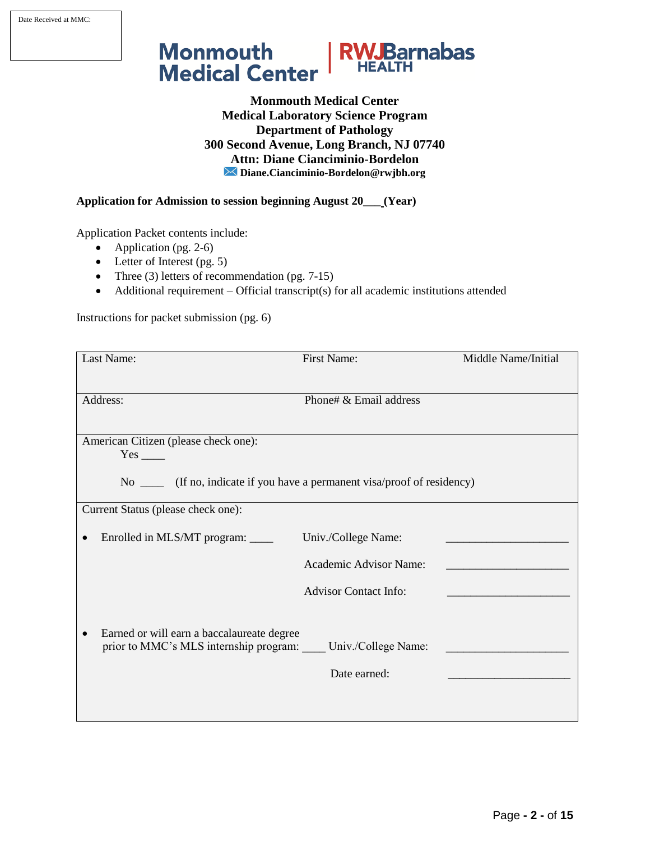Date Received at MMC:



**Monmouth Medical Center Medical Laboratory Science Program Department of Pathology 300 Second Avenue, Long Branch, NJ 07740 Attn: Diane Cianciminio-Bordelon Diane.Cianciminio-Bordelon@rwjbh.org**

**Application for Admission to session beginning August 20\_\_\_ (Year)**

Application Packet contents include:

- Application (pg. 2-6)
- Letter of Interest (pg. 5)
- Three (3) letters of recommendation (pg. 7-15)
- Additional requirement Official transcript(s) for all academic institutions attended

Instructions for packet submission (pg. 6)

| Last Name:                                                                  | <b>First Name:</b>           | Middle Name/Initial |
|-----------------------------------------------------------------------------|------------------------------|---------------------|
|                                                                             |                              |                     |
| Address:                                                                    | Phone# & Email address       |                     |
|                                                                             |                              |                     |
| American Citizen (please check one):                                        |                              |                     |
| $Yes$ <sub>____</sub>                                                       |                              |                     |
| No ______ (If no, indicate if you have a permanent visa/proof of residency) |                              |                     |
| Current Status (please check one):                                          |                              |                     |
| Enrolled in MLS/MT program: _____                                           | Univ./College Name:          |                     |
|                                                                             | Academic Advisor Name:       |                     |
|                                                                             | <b>Advisor Contact Info:</b> |                     |
|                                                                             |                              |                     |
| Earned or will earn a baccalaureate degree                                  |                              |                     |
| prior to MMC's MLS internship program: Univ./College Name:                  |                              |                     |
|                                                                             | Date earned:                 |                     |
|                                                                             |                              |                     |
|                                                                             |                              |                     |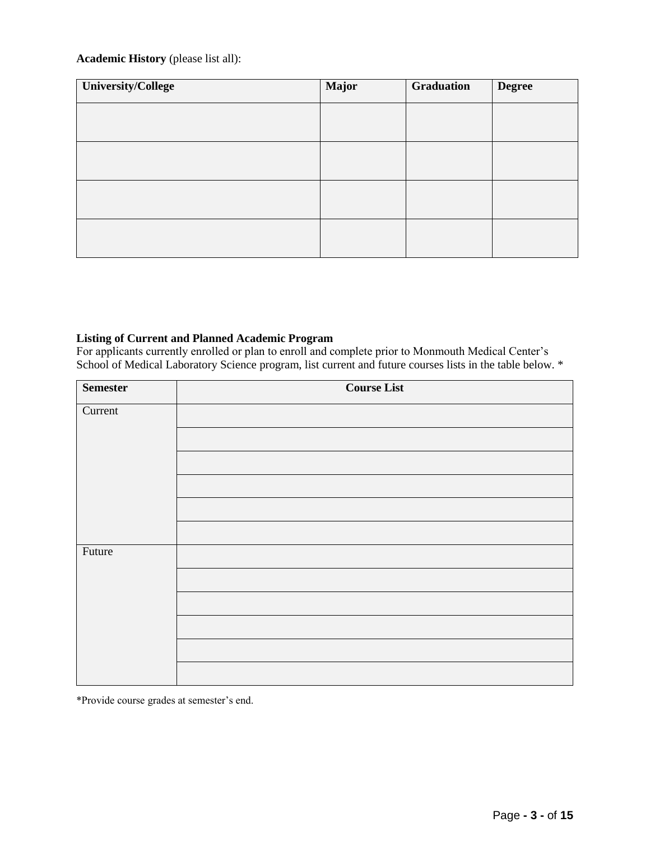### **Academic History** (please list all):

| University/College | <b>Major</b> | Graduation | <b>Degree</b> |
|--------------------|--------------|------------|---------------|
|                    |              |            |               |
|                    |              |            |               |
|                    |              |            |               |
|                    |              |            |               |
|                    |              |            |               |

#### **Listing of Current and Planned Academic Program**

For applicants currently enrolled or plan to enroll and complete prior to Monmouth Medical Center's School of Medical Laboratory Science program, list current and future courses lists in the table below. \*

| <b>Semester</b> | <b>Course List</b> |
|-----------------|--------------------|
| Current         |                    |
|                 |                    |
|                 |                    |
|                 |                    |
|                 |                    |
|                 |                    |
| Future          |                    |
|                 |                    |
|                 |                    |
|                 |                    |
|                 |                    |
|                 |                    |

\*Provide course grades at semester's end.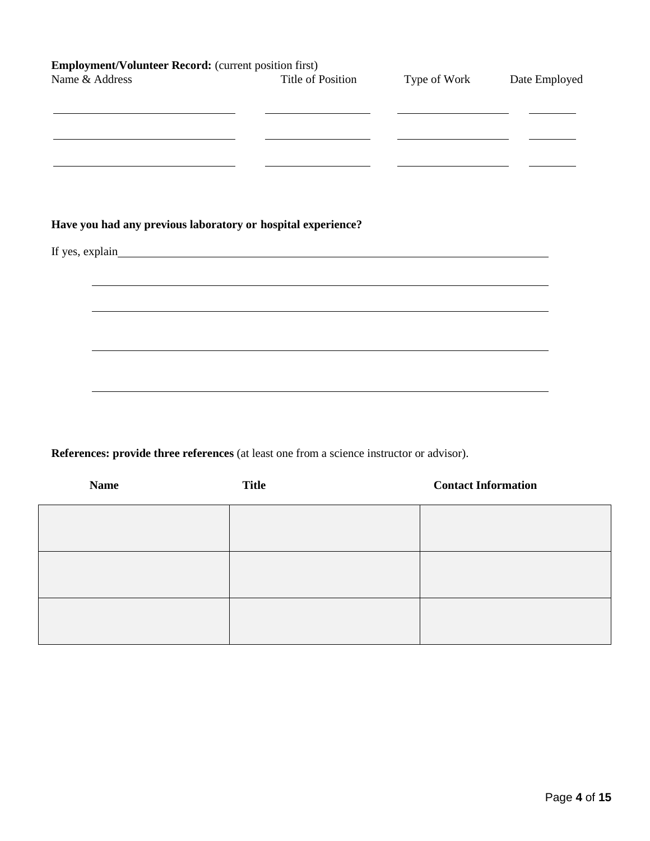| <b>Employment/Volunteer Record:</b> (current position first)<br>Name & Address                                                           | Title of Position                                                                                                    | Type of Work                                                                                                                                                                                                                         | Date Employed |
|------------------------------------------------------------------------------------------------------------------------------------------|----------------------------------------------------------------------------------------------------------------------|--------------------------------------------------------------------------------------------------------------------------------------------------------------------------------------------------------------------------------------|---------------|
| the control of the control of the control of the control of the control of<br><u> 1989 - Johann Barn, amerikansk politiker (d. 1989)</u> |                                                                                                                      | <u> 1980 - Johann Harry Harry Harry Harry Harry Harry Harry Harry Harry Harry Harry Harry Harry Harry Harry Harry Harry Harry Harry Harry Harry Harry Harry Harry Harry Harry Harry Harry Harry Harry Harry Harry Harry Harry Ha</u> |               |
|                                                                                                                                          |                                                                                                                      |                                                                                                                                                                                                                                      |               |
| Have you had any previous laboratory or hospital experience?                                                                             |                                                                                                                      |                                                                                                                                                                                                                                      |               |
|                                                                                                                                          |                                                                                                                      |                                                                                                                                                                                                                                      |               |
|                                                                                                                                          | <u> 1989 - Andrea Santa Andrea Andrea Santa Andrea Andrea Andrea Andrea Andrea Andrea Andrea Andrea Andrea Andre</u> |                                                                                                                                                                                                                                      |               |
|                                                                                                                                          |                                                                                                                      |                                                                                                                                                                                                                                      |               |
|                                                                                                                                          |                                                                                                                      |                                                                                                                                                                                                                                      |               |
|                                                                                                                                          |                                                                                                                      |                                                                                                                                                                                                                                      |               |
|                                                                                                                                          |                                                                                                                      |                                                                                                                                                                                                                                      |               |

**References: provide three references** (at least one from a science instructor or advisor).

| <b>Name</b> | <b>Title</b> | <b>Contact Information</b> |
|-------------|--------------|----------------------------|
|             |              |                            |
|             |              |                            |
|             |              |                            |
|             |              |                            |
|             |              |                            |
|             |              |                            |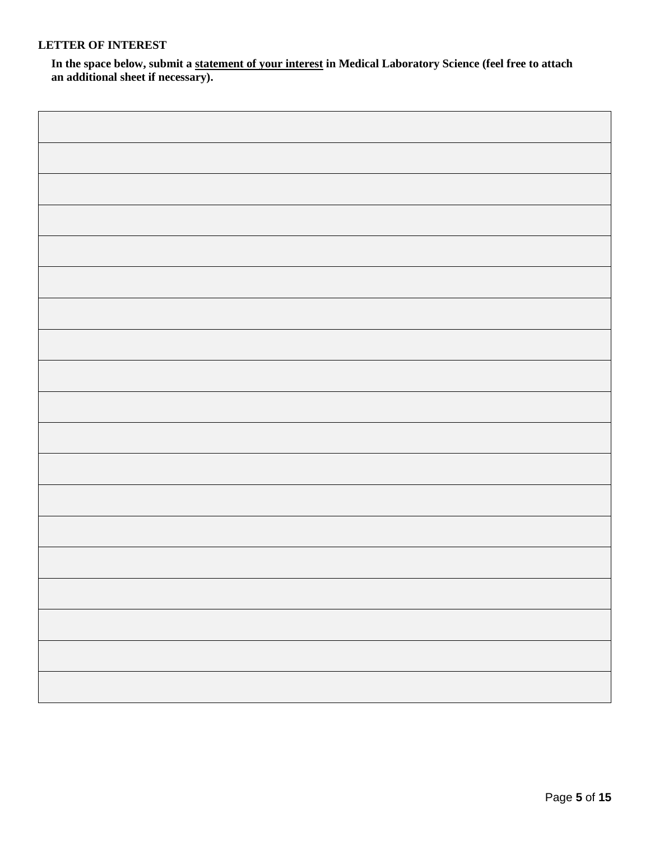## **LETTER OF INTEREST**

**In the space below, submit a statement of your interest in Medical Laboratory Science (feel free to attach an additional sheet if necessary).**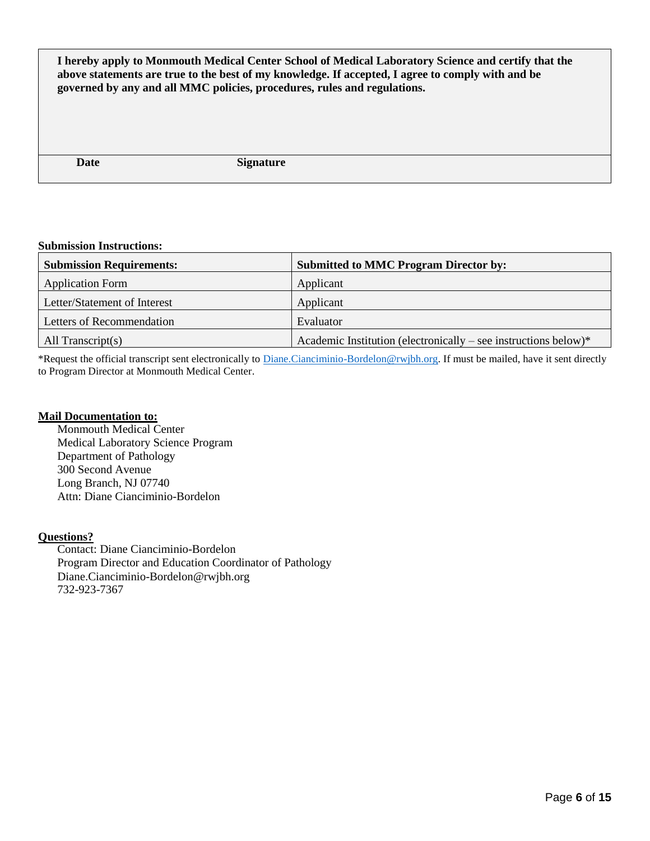**I hereby apply to Monmouth Medical Center School of Medical Laboratory Science and certify that the above statements are true to the best of my knowledge. If accepted, I agree to comply with and be governed by any and all MMC policies, procedures, rules and regulations.**

**Date** Signature

#### **Submission Instructions:**

| <b>Submission Requirements:</b> | <b>Submitted to MMC Program Director by:</b>                    |
|---------------------------------|-----------------------------------------------------------------|
| <b>Application Form</b>         | Applicant                                                       |
| Letter/Statement of Interest    | Applicant                                                       |
| Letters of Recommendation       | Evaluator                                                       |
| All Transcript $(s)$            | Academic Institution (electronically – see instructions below)* |

\*Request the official transcript sent electronically to [Diane.Cianciminio-Bordelon@rwjbh.org.](mailto:Diane.Cianciminio-Bordelon@rwjbh.org) If must be mailed, have it sent directly to Program Director at Monmouth Medical Center.

### **Mail Documentation to:**

Monmouth Medical Center Medical Laboratory Science Program Department of Pathology 300 Second Avenue Long Branch, NJ 07740 Attn: Diane Cianciminio-Bordelon

### **Questions?**

Contact: Diane Cianciminio-Bordelon Program Director and Education Coordinator of Pathology [Diane.Cianciminio-Bordelon@rwjbh.org](mailto:esu@barnabashealth.org) 732-923-7367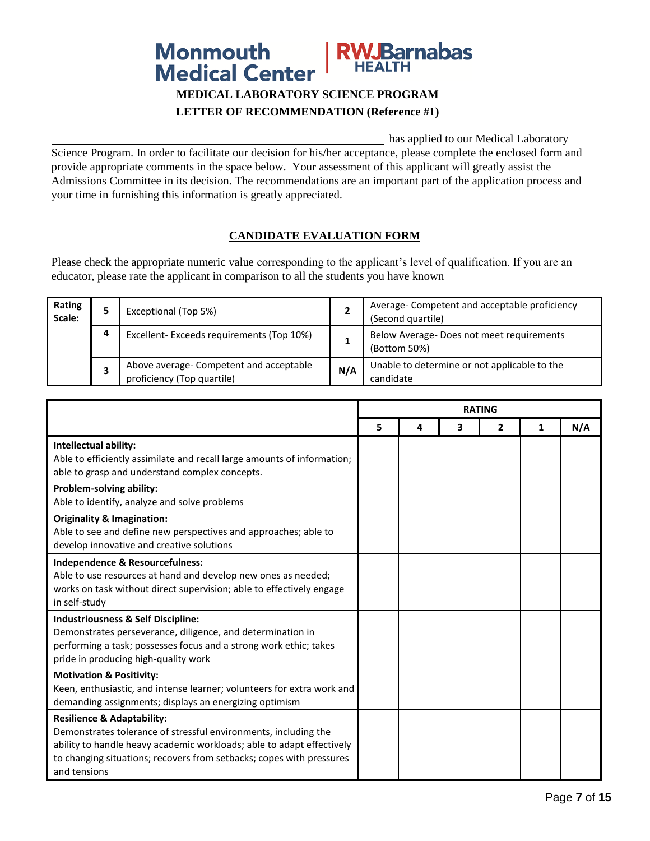

# **MEDICAL LABORATORY SCIENCE PROGRAM LETTER OF RECOMMENDATION (Reference #1)**

has applied to our Medical Laboratory Science Program. In order to facilitate our decision for his/her acceptance, please complete the enclosed form and provide appropriate comments in the space below. Your assessment of this applicant will greatly assist the Admissions Committee in its decision. The recommendations are an important part of the application process and your time in furnishing this information is greatly appreciated.

### **CANDIDATE EVALUATION FORM**

Please check the appropriate numeric value corresponding to the applicant's level of qualification. If you are an educator, please rate the applicant in comparison to all the students you have known

| Rating<br>Scale: |   | Exceptional (Top 5%)                                                  | ∠   | Average- Competent and acceptable proficiency<br>(Second quartile) |
|------------------|---|-----------------------------------------------------------------------|-----|--------------------------------------------------------------------|
|                  | Д | Excellent-Exceeds requirements (Top 10%)                              |     | Below Average-Does not meet requirements<br>(Bottom 50%)           |
|                  |   | Above average- Competent and acceptable<br>proficiency (Top quartile) | N/A | Unable to determine or not applicable to the<br>candidate          |

|                                                                         | <b>RATING</b> |   |   |              |   |     |
|-------------------------------------------------------------------------|---------------|---|---|--------------|---|-----|
|                                                                         | 5             | 4 | 3 | $\mathbf{2}$ | 1 | N/A |
| Intellectual ability:                                                   |               |   |   |              |   |     |
| Able to efficiently assimilate and recall large amounts of information; |               |   |   |              |   |     |
| able to grasp and understand complex concepts.                          |               |   |   |              |   |     |
| Problem-solving ability:                                                |               |   |   |              |   |     |
| Able to identify, analyze and solve problems                            |               |   |   |              |   |     |
| <b>Originality &amp; Imagination:</b>                                   |               |   |   |              |   |     |
| Able to see and define new perspectives and approaches; able to         |               |   |   |              |   |     |
| develop innovative and creative solutions                               |               |   |   |              |   |     |
| Independence & Resourcefulness:                                         |               |   |   |              |   |     |
| Able to use resources at hand and develop new ones as needed;           |               |   |   |              |   |     |
| works on task without direct supervision; able to effectively engage    |               |   |   |              |   |     |
| in self-study                                                           |               |   |   |              |   |     |
| <b>Industriousness &amp; Self Discipline:</b>                           |               |   |   |              |   |     |
| Demonstrates perseverance, diligence, and determination in              |               |   |   |              |   |     |
| performing a task; possesses focus and a strong work ethic; takes       |               |   |   |              |   |     |
| pride in producing high-quality work                                    |               |   |   |              |   |     |
| <b>Motivation &amp; Positivity:</b>                                     |               |   |   |              |   |     |
| Keen, enthusiastic, and intense learner; volunteers for extra work and  |               |   |   |              |   |     |
| demanding assignments; displays an energizing optimism                  |               |   |   |              |   |     |
| <b>Resilience &amp; Adaptability:</b>                                   |               |   |   |              |   |     |
| Demonstrates tolerance of stressful environments, including the         |               |   |   |              |   |     |
| ability to handle heavy academic workloads; able to adapt effectively   |               |   |   |              |   |     |
| to changing situations; recovers from setbacks; copes with pressures    |               |   |   |              |   |     |
| and tensions                                                            |               |   |   |              |   |     |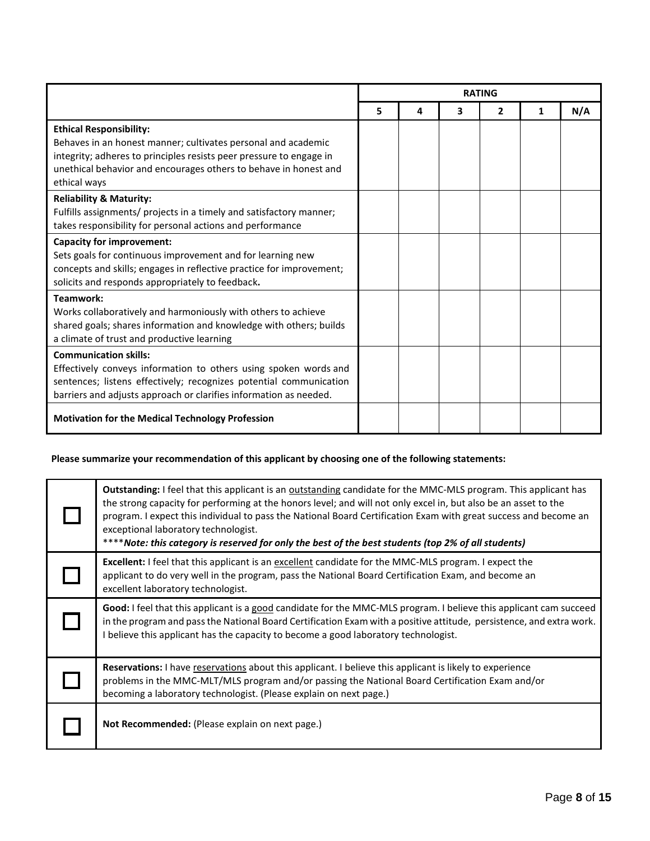|                                                                                                                                                                                                                                                            | <b>RATING</b> |   |   |   |   |     |
|------------------------------------------------------------------------------------------------------------------------------------------------------------------------------------------------------------------------------------------------------------|---------------|---|---|---|---|-----|
|                                                                                                                                                                                                                                                            | 5             | 4 | 3 | 2 | 1 | N/A |
| <b>Ethical Responsibility:</b><br>Behaves in an honest manner; cultivates personal and academic<br>integrity; adheres to principles resists peer pressure to engage in<br>unethical behavior and encourages others to behave in honest and<br>ethical ways |               |   |   |   |   |     |
| <b>Reliability &amp; Maturity:</b><br>Fulfills assignments/ projects in a timely and satisfactory manner;<br>takes responsibility for personal actions and performance                                                                                     |               |   |   |   |   |     |
| <b>Capacity for improvement:</b><br>Sets goals for continuous improvement and for learning new<br>concepts and skills; engages in reflective practice for improvement;<br>solicits and responds appropriately to feedback.                                 |               |   |   |   |   |     |
| Teamwork:<br>Works collaboratively and harmoniously with others to achieve<br>shared goals; shares information and knowledge with others; builds<br>a climate of trust and productive learning                                                             |               |   |   |   |   |     |
| <b>Communication skills:</b><br>Effectively conveys information to others using spoken words and<br>sentences; listens effectively; recognizes potential communication<br>barriers and adjusts approach or clarifies information as needed.                |               |   |   |   |   |     |
| <b>Motivation for the Medical Technology Profession</b>                                                                                                                                                                                                    |               |   |   |   |   |     |

# **Please summarize your recommendation of this applicant by choosing one of the following statements:**

| Outstanding: I feel that this applicant is an outstanding candidate for the MMC-MLS program. This applicant has<br>the strong capacity for performing at the honors level; and will not only excel in, but also be an asset to the<br>program. I expect this individual to pass the National Board Certification Exam with great success and become an<br>exceptional laboratory technologist.<br>****Note: this category is reserved for only the best of the best students (top 2% of all students) |
|-------------------------------------------------------------------------------------------------------------------------------------------------------------------------------------------------------------------------------------------------------------------------------------------------------------------------------------------------------------------------------------------------------------------------------------------------------------------------------------------------------|
| Excellent: I feel that this applicant is an excellent candidate for the MMC-MLS program. I expect the<br>applicant to do very well in the program, pass the National Board Certification Exam, and become an<br>excellent laboratory technologist.                                                                                                                                                                                                                                                    |
| Good: I feel that this applicant is a good candidate for the MMC-MLS program. I believe this applicant cam succeed<br>in the program and pass the National Board Certification Exam with a positive attitude, persistence, and extra work.<br>I believe this applicant has the capacity to become a good laboratory technologist.                                                                                                                                                                     |
| Reservations: I have reservations about this applicant. I believe this applicant is likely to experience<br>problems in the MMC-MLT/MLS program and/or passing the National Board Certification Exam and/or<br>becoming a laboratory technologist. (Please explain on next page.)                                                                                                                                                                                                                     |
| Not Recommended: (Please explain on next page.)                                                                                                                                                                                                                                                                                                                                                                                                                                                       |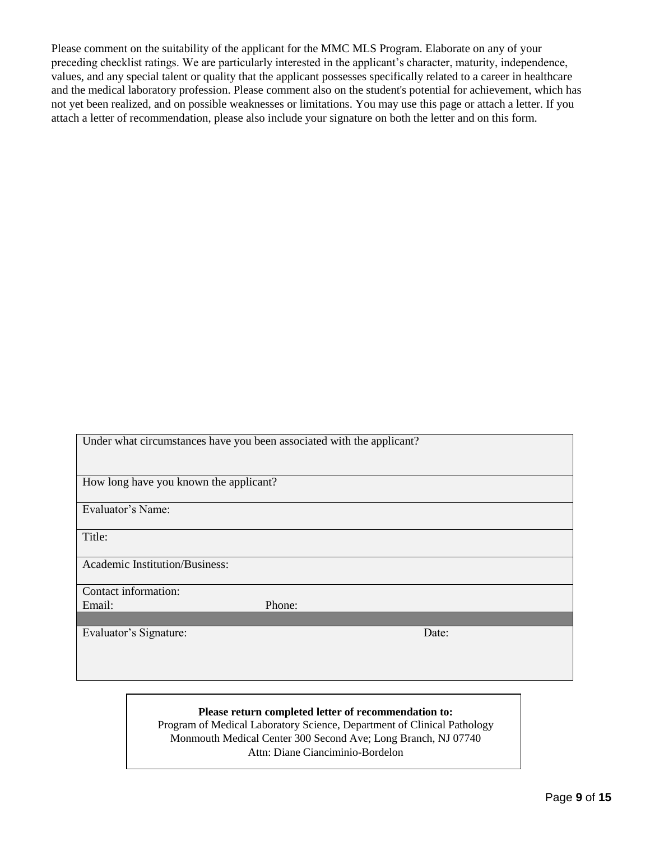Please comment on the suitability of the applicant for the MMC MLS Program. Elaborate on any of your preceding checklist ratings. We are particularly interested in the applicant's character, maturity, independence, values, and any special talent or quality that the applicant possesses specifically related to a career in healthcare and the medical laboratory profession. Please comment also on the student's potential for achievement, which has not yet been realized, and on possible weaknesses or limitations. You may use this page or attach a letter. If you attach a letter of recommendation, please also include your signature on both the letter and on this form.

| Under what circumstances have you been associated with the applicant? |        |       |  |
|-----------------------------------------------------------------------|--------|-------|--|
|                                                                       |        |       |  |
| How long have you known the applicant?                                |        |       |  |
| Evaluator's Name:                                                     |        |       |  |
|                                                                       |        |       |  |
| Title:                                                                |        |       |  |
| <b>Academic Institution/Business:</b>                                 |        |       |  |
|                                                                       |        |       |  |
| Contact information:                                                  |        |       |  |
| Email:                                                                | Phone: |       |  |
|                                                                       |        |       |  |
| Evaluator's Signature:                                                |        | Date: |  |
|                                                                       |        |       |  |
|                                                                       |        |       |  |
|                                                                       |        |       |  |

## **Please return completed letter of recommendation to:**

Program of Medical Laboratory Science, Department of Clinical Pathology Monmouth Medical Center 300 Second Ave; Long Branch, NJ 07740 Attn: Diane Cianciminio-Bordelon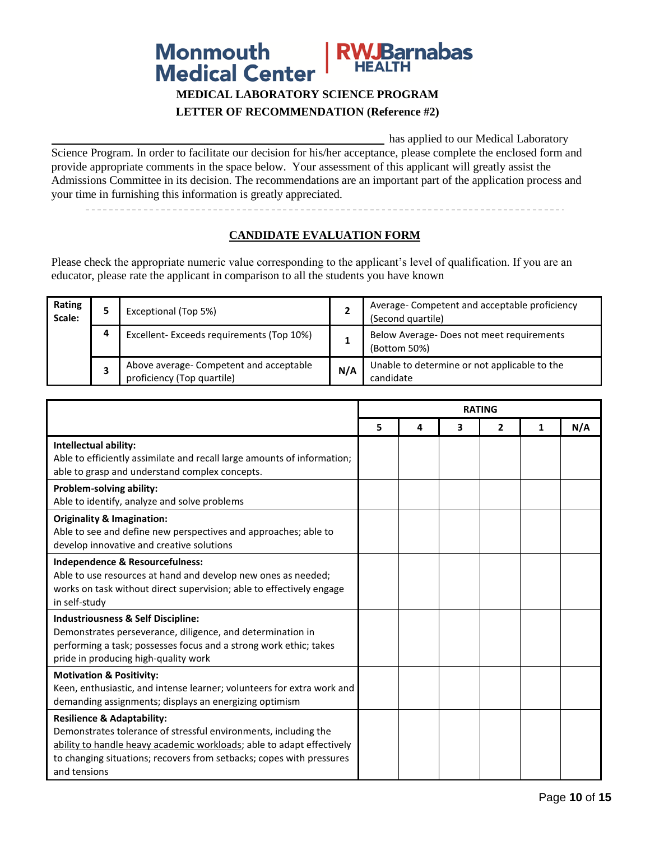# **RWJBarnabas Monmouth Medical Center**

# **MEDICAL LABORATORY SCIENCE PROGRAM LETTER OF RECOMMENDATION (Reference #2)**

has applied to our Medical Laboratory Science Program. In order to facilitate our decision for his/her acceptance, please complete the enclosed form and provide appropriate comments in the space below. Your assessment of this applicant will greatly assist the Admissions Committee in its decision. The recommendations are an important part of the application process and your time in furnishing this information is greatly appreciated.

### **CANDIDATE EVALUATION FORM**

Please check the appropriate numeric value corresponding to the applicant's level of qualification. If you are an educator, please rate the applicant in comparison to all the students you have known

| Rating<br>Scale: |   | Exceptional (Top 5%)                                                  | -   | Average- Competent and acceptable proficiency<br>(Second quartile) |
|------------------|---|-----------------------------------------------------------------------|-----|--------------------------------------------------------------------|
|                  | Д | Excellent-Exceeds requirements (Top 10%)                              |     | Below Average-Does not meet requirements<br>(Bottom 50%)           |
|                  |   | Above average- Competent and acceptable<br>proficiency (Top quartile) | N/A | Unable to determine or not applicable to the<br>candidate          |

|                                                                                                                                                                                                                                                                           | <b>RATING</b> |   |   |              |   |     |
|---------------------------------------------------------------------------------------------------------------------------------------------------------------------------------------------------------------------------------------------------------------------------|---------------|---|---|--------------|---|-----|
|                                                                                                                                                                                                                                                                           | 5             | 4 | 3 | $\mathbf{2}$ | 1 | N/A |
| Intellectual ability:                                                                                                                                                                                                                                                     |               |   |   |              |   |     |
| Able to efficiently assimilate and recall large amounts of information;<br>able to grasp and understand complex concepts.                                                                                                                                                 |               |   |   |              |   |     |
| Problem-solving ability:<br>Able to identify, analyze and solve problems                                                                                                                                                                                                  |               |   |   |              |   |     |
| <b>Originality &amp; Imagination:</b><br>Able to see and define new perspectives and approaches; able to<br>develop innovative and creative solutions                                                                                                                     |               |   |   |              |   |     |
| Independence & Resourcefulness:<br>Able to use resources at hand and develop new ones as needed;<br>works on task without direct supervision; able to effectively engage<br>in self-study                                                                                 |               |   |   |              |   |     |
| <b>Industriousness &amp; Self Discipline:</b><br>Demonstrates perseverance, diligence, and determination in<br>performing a task; possesses focus and a strong work ethic; takes<br>pride in producing high-quality work                                                  |               |   |   |              |   |     |
| <b>Motivation &amp; Positivity:</b><br>Keen, enthusiastic, and intense learner; volunteers for extra work and<br>demanding assignments; displays an energizing optimism                                                                                                   |               |   |   |              |   |     |
| <b>Resilience &amp; Adaptability:</b><br>Demonstrates tolerance of stressful environments, including the<br>ability to handle heavy academic workloads; able to adapt effectively<br>to changing situations; recovers from setbacks; copes with pressures<br>and tensions |               |   |   |              |   |     |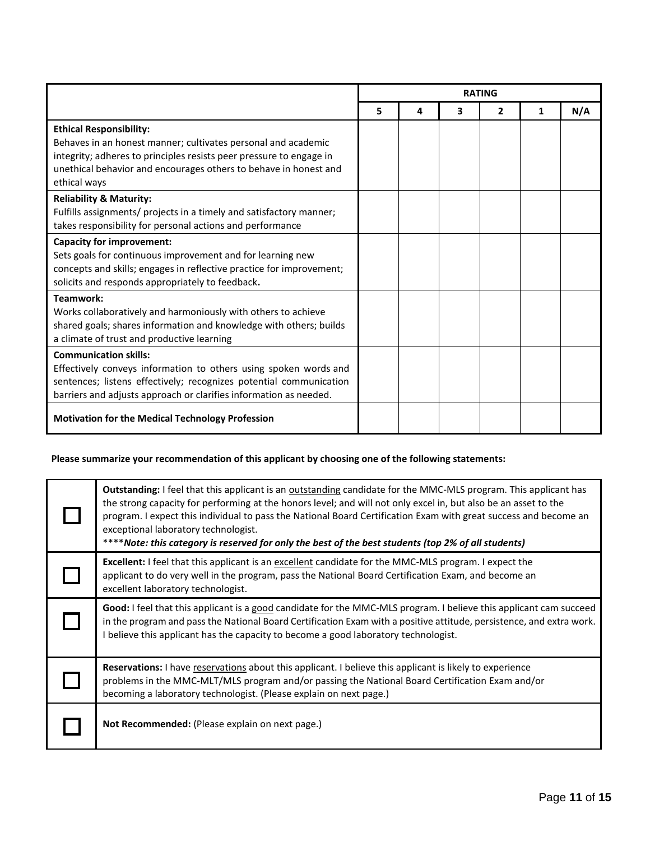|                                                                                                                                                                                                                                                            | <b>RATING</b> |   |   |   |   |     |
|------------------------------------------------------------------------------------------------------------------------------------------------------------------------------------------------------------------------------------------------------------|---------------|---|---|---|---|-----|
|                                                                                                                                                                                                                                                            | 5             | 4 | 3 | 2 | 1 | N/A |
| <b>Ethical Responsibility:</b><br>Behaves in an honest manner; cultivates personal and academic<br>integrity; adheres to principles resists peer pressure to engage in<br>unethical behavior and encourages others to behave in honest and<br>ethical ways |               |   |   |   |   |     |
| <b>Reliability &amp; Maturity:</b><br>Fulfills assignments/ projects in a timely and satisfactory manner;<br>takes responsibility for personal actions and performance                                                                                     |               |   |   |   |   |     |
| <b>Capacity for improvement:</b><br>Sets goals for continuous improvement and for learning new<br>concepts and skills; engages in reflective practice for improvement;<br>solicits and responds appropriately to feedback.                                 |               |   |   |   |   |     |
| Teamwork:<br>Works collaboratively and harmoniously with others to achieve<br>shared goals; shares information and knowledge with others; builds<br>a climate of trust and productive learning                                                             |               |   |   |   |   |     |
| <b>Communication skills:</b><br>Effectively conveys information to others using spoken words and<br>sentences; listens effectively; recognizes potential communication<br>barriers and adjusts approach or clarifies information as needed.                |               |   |   |   |   |     |
| <b>Motivation for the Medical Technology Profession</b>                                                                                                                                                                                                    |               |   |   |   |   |     |

# **Please summarize your recommendation of this applicant by choosing one of the following statements:**

| Outstanding: I feel that this applicant is an outstanding candidate for the MMC-MLS program. This applicant has<br>the strong capacity for performing at the honors level; and will not only excel in, but also be an asset to the<br>program. I expect this individual to pass the National Board Certification Exam with great success and become an<br>exceptional laboratory technologist.<br>****Note: this category is reserved for only the best of the best students (top 2% of all students) |
|-------------------------------------------------------------------------------------------------------------------------------------------------------------------------------------------------------------------------------------------------------------------------------------------------------------------------------------------------------------------------------------------------------------------------------------------------------------------------------------------------------|
| <b>Excellent:</b> I feel that this applicant is an excellent candidate for the MMC-MLS program. I expect the<br>applicant to do very well in the program, pass the National Board Certification Exam, and become an<br>excellent laboratory technologist.                                                                                                                                                                                                                                             |
| Good: I feel that this applicant is a good candidate for the MMC-MLS program. I believe this applicant cam succeed<br>in the program and pass the National Board Certification Exam with a positive attitude, persistence, and extra work.<br>I believe this applicant has the capacity to become a good laboratory technologist.                                                                                                                                                                     |
| Reservations: I have reservations about this applicant. I believe this applicant is likely to experience<br>problems in the MMC-MLT/MLS program and/or passing the National Board Certification Exam and/or<br>becoming a laboratory technologist. (Please explain on next page.)                                                                                                                                                                                                                     |
| Not Recommended: (Please explain on next page.)                                                                                                                                                                                                                                                                                                                                                                                                                                                       |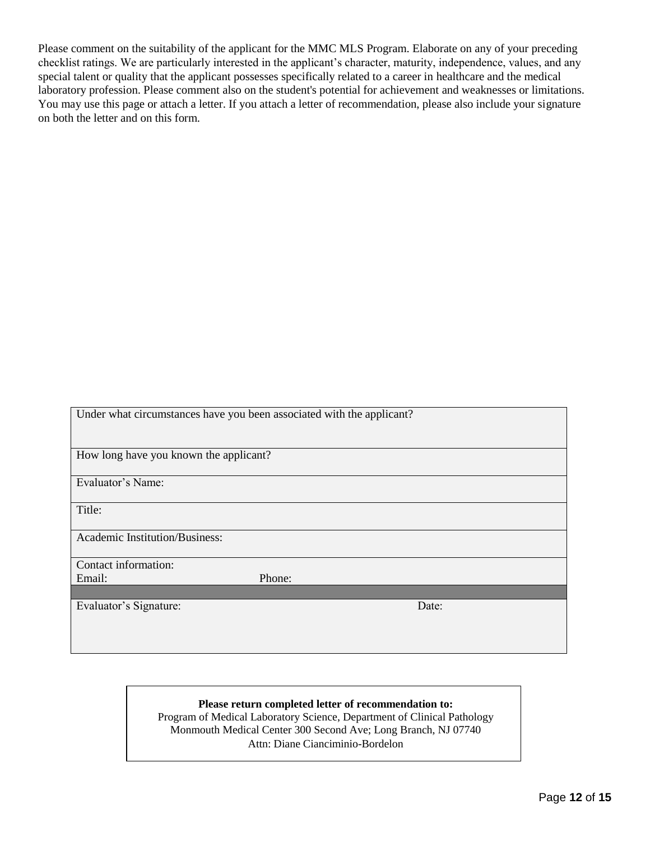Please comment on the suitability of the applicant for the MMC MLS Program. Elaborate on any of your preceding checklist ratings. We are particularly interested in the applicant's character, maturity, independence, values, and any special talent or quality that the applicant possesses specifically related to a career in healthcare and the medical laboratory profession. Please comment also on the student's potential for achievement and weaknesses or limitations. You may use this page or attach a letter. If you attach a letter of recommendation, please also include your signature on both the letter and on this form.

| Under what circumstances have you been associated with the applicant? |        |  |  |  |
|-----------------------------------------------------------------------|--------|--|--|--|
|                                                                       |        |  |  |  |
| How long have you known the applicant?                                |        |  |  |  |
| Evaluator's Name:                                                     |        |  |  |  |
| Title:                                                                |        |  |  |  |
| <b>Academic Institution/Business:</b>                                 |        |  |  |  |
| Contact information:                                                  |        |  |  |  |
| Email:                                                                | Phone: |  |  |  |
|                                                                       |        |  |  |  |
| Evaluator's Signature:                                                | Date:  |  |  |  |
|                                                                       |        |  |  |  |
|                                                                       |        |  |  |  |
|                                                                       |        |  |  |  |

#### **Please return completed letter of recommendation to:**

Program of Medical Laboratory Science, Department of Clinical Pathology Monmouth Medical Center 300 Second Ave; Long Branch, NJ 07740 Attn: Diane Cianciminio-Bordelon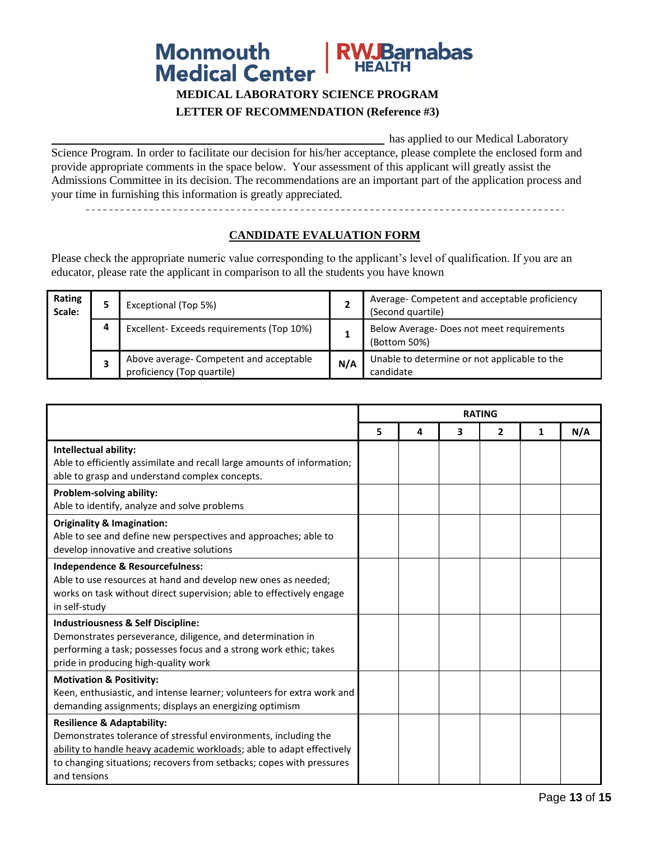# **RWJBarnabas Monmouth Medical Center**

## **MEDICAL LABORATORY SCIENCE PROGRAM LETTER OF RECOMMENDATION (Reference #3)**

has applied to our Medical Laboratory Science Program. In order to facilitate our decision for his/her acceptance, please complete the enclosed form and provide appropriate comments in the space below. Your assessment of this applicant will greatly assist the Admissions Committee in its decision. The recommendations are an important part of the application process and your time in furnishing this information is greatly appreciated.

## **CANDIDATE EVALUATION FORM**

Please check the appropriate numeric value corresponding to the applicant's level of qualification. If you are an educator, please rate the applicant in comparison to all the students you have known

| Rating<br>Scale: |   | Exceptional (Top 5%)                                                  | ∠   | Average- Competent and acceptable proficiency<br>(Second quartile) |
|------------------|---|-----------------------------------------------------------------------|-----|--------------------------------------------------------------------|
|                  | 4 | Excellent-Exceeds requirements (Top 10%)                              |     | Below Average-Does not meet requirements<br>(Bottom 50%)           |
|                  |   | Above average- Competent and acceptable<br>proficiency (Top quartile) | N/A | Unable to determine or not applicable to the<br>candidate          |

|                                                                                                                                                                                                                                                                           | <b>RATING</b> |   |   |   |   |     |
|---------------------------------------------------------------------------------------------------------------------------------------------------------------------------------------------------------------------------------------------------------------------------|---------------|---|---|---|---|-----|
|                                                                                                                                                                                                                                                                           | 5             | 4 | 3 | 2 | 1 | N/A |
| Intellectual ability:<br>Able to efficiently assimilate and recall large amounts of information;<br>able to grasp and understand complex concepts.                                                                                                                        |               |   |   |   |   |     |
| Problem-solving ability:<br>Able to identify, analyze and solve problems                                                                                                                                                                                                  |               |   |   |   |   |     |
| <b>Originality &amp; Imagination:</b><br>Able to see and define new perspectives and approaches; able to<br>develop innovative and creative solutions                                                                                                                     |               |   |   |   |   |     |
| Independence & Resourcefulness:<br>Able to use resources at hand and develop new ones as needed;<br>works on task without direct supervision; able to effectively engage<br>in self-study                                                                                 |               |   |   |   |   |     |
| <b>Industriousness &amp; Self Discipline:</b><br>Demonstrates perseverance, diligence, and determination in<br>performing a task; possesses focus and a strong work ethic; takes<br>pride in producing high-quality work                                                  |               |   |   |   |   |     |
| <b>Motivation &amp; Positivity:</b><br>Keen, enthusiastic, and intense learner; volunteers for extra work and<br>demanding assignments; displays an energizing optimism                                                                                                   |               |   |   |   |   |     |
| <b>Resilience &amp; Adaptability:</b><br>Demonstrates tolerance of stressful environments, including the<br>ability to handle heavy academic workloads; able to adapt effectively<br>to changing situations; recovers from setbacks; copes with pressures<br>and tensions |               |   |   |   |   |     |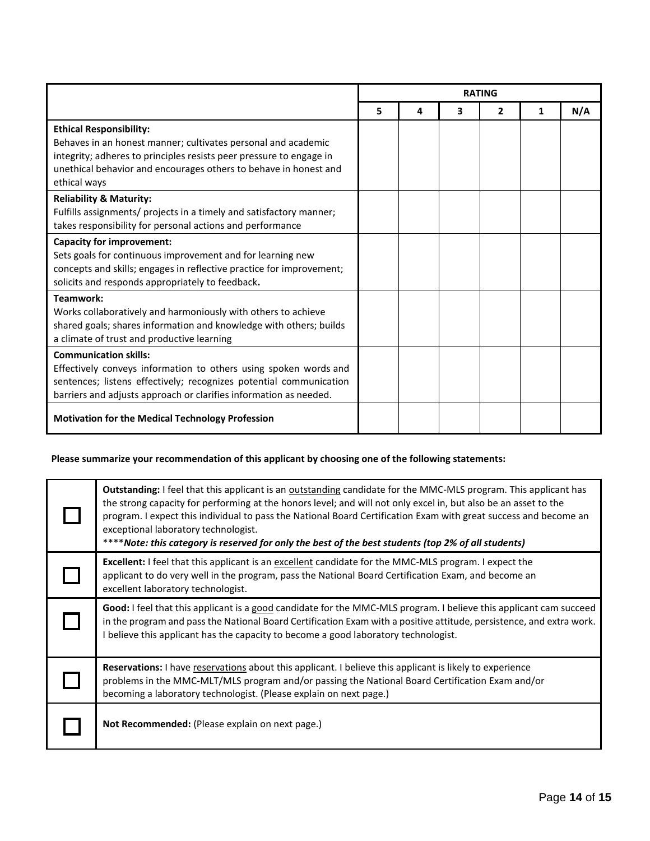|                                                                                                                                                                                                                                                            | <b>RATING</b> |   |   |   |   |     |
|------------------------------------------------------------------------------------------------------------------------------------------------------------------------------------------------------------------------------------------------------------|---------------|---|---|---|---|-----|
|                                                                                                                                                                                                                                                            | 5             | 4 | 3 | 2 | 1 | N/A |
| <b>Ethical Responsibility:</b><br>Behaves in an honest manner; cultivates personal and academic<br>integrity; adheres to principles resists peer pressure to engage in<br>unethical behavior and encourages others to behave in honest and<br>ethical ways |               |   |   |   |   |     |
| <b>Reliability &amp; Maturity:</b><br>Fulfills assignments/ projects in a timely and satisfactory manner;<br>takes responsibility for personal actions and performance                                                                                     |               |   |   |   |   |     |
| <b>Capacity for improvement:</b><br>Sets goals for continuous improvement and for learning new<br>concepts and skills; engages in reflective practice for improvement;<br>solicits and responds appropriately to feedback.                                 |               |   |   |   |   |     |
| Teamwork:<br>Works collaboratively and harmoniously with others to achieve<br>shared goals; shares information and knowledge with others; builds<br>a climate of trust and productive learning                                                             |               |   |   |   |   |     |
| <b>Communication skills:</b><br>Effectively conveys information to others using spoken words and<br>sentences; listens effectively; recognizes potential communication<br>barriers and adjusts approach or clarifies information as needed.                |               |   |   |   |   |     |
| <b>Motivation for the Medical Technology Profession</b>                                                                                                                                                                                                    |               |   |   |   |   |     |

# **Please summarize your recommendation of this applicant by choosing one of the following statements:**

| Outstanding: I feel that this applicant is an outstanding candidate for the MMC-MLS program. This applicant has<br>the strong capacity for performing at the honors level; and will not only excel in, but also be an asset to the<br>program. I expect this individual to pass the National Board Certification Exam with great success and become an<br>exceptional laboratory technologist.<br>****Note: this category is reserved for only the best of the best students (top 2% of all students) |
|-------------------------------------------------------------------------------------------------------------------------------------------------------------------------------------------------------------------------------------------------------------------------------------------------------------------------------------------------------------------------------------------------------------------------------------------------------------------------------------------------------|
| Excellent: I feel that this applicant is an excellent candidate for the MMC-MLS program. I expect the<br>applicant to do very well in the program, pass the National Board Certification Exam, and become an<br>excellent laboratory technologist.                                                                                                                                                                                                                                                    |
| Good: I feel that this applicant is a good candidate for the MMC-MLS program. I believe this applicant cam succeed<br>in the program and pass the National Board Certification Exam with a positive attitude, persistence, and extra work.<br>I believe this applicant has the capacity to become a good laboratory technologist.                                                                                                                                                                     |
| Reservations: I have reservations about this applicant. I believe this applicant is likely to experience<br>problems in the MMC-MLT/MLS program and/or passing the National Board Certification Exam and/or<br>becoming a laboratory technologist. (Please explain on next page.)                                                                                                                                                                                                                     |
| Not Recommended: (Please explain on next page.)                                                                                                                                                                                                                                                                                                                                                                                                                                                       |